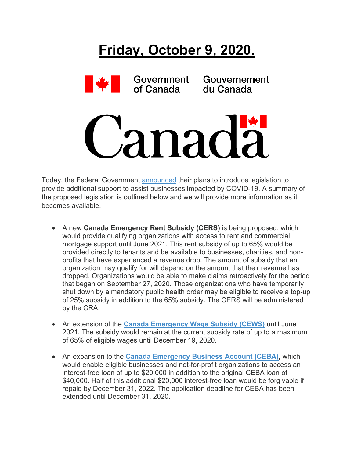

Today, the Federal Government [announced](http://r20.rs6.net/tn.jsp?f=001E_fs7Dt6fhyrkN36VTykCEC8Ge5ijC2w_45DFnHzRakAji7dCCtGQQFH6IySkxohkaYPrsRK1KD4em1ijlLrBfzuyu5KjtgFTO_trg9gugyBd8-kYaeP8zakl5qZ4DzvNsDh5nTtNTEDrDx-vyaLfb8cUk_-jFSamU4FQknyJdtPYrcN_w1HBuTI234x5czeNYODRbO4SE9t_P5ON-16x7c0TYeuTu1SfvaT6xkdX2AVr0uQ90j6SYppmkFllOhI-mwFeOpXWU4av8x2Z4M2tZb1m1rqKyYcmmH9ssrc0j1GBtku3M-tWQ==&c=R8oRtY2OL1c9tUtT8Awbc1xHmIldmr6Gco9ecKzLK43sqrgF1C7wnw==&ch=XNtyRlmvsN1YwFQJiS5nuA9trpjUjs2LxiIvoRcRhi0paHFlX8-JsQ==) their plans to introduce legislation to provide additional support to assist businesses impacted by COVID-19. A summary of the proposed legislation is outlined below and we will provide more information as it becomes available.

- A new **Canada Emergency Rent Subsidy (CERS)** is being proposed, which would provide qualifying organizations with access to rent and commercial mortgage support until June 2021. This rent subsidy of up to 65% would be provided directly to tenants and be available to businesses, charities, and nonprofits that have experienced a revenue drop. The amount of subsidy that an organization may qualify for will depend on the amount that their revenue has dropped. Organizations would be able to make claims retroactively for the period that began on September 27, 2020. Those organizations who have temporarily shut down by a mandatory public health order may be eligible to receive a top-up of 25% subsidy in addition to the 65% subsidy. The CERS will be administered by the CRA.
- An extension of the **[Canada Emergency Wage Subsidy \(CEWS\)](http://r20.rs6.net/tn.jsp?f=001E_fs7Dt6fhyrkN36VTykCEC8Ge5ijC2w_45DFnHzRakAji7dCCtGQaqvbwf8Tb4ijiAWf1_TxQZNOd2FN0qOU5w_tDpIWRRAqkFUwKCEBWfE3G9Jq9RrncEhJISjrw8T5XBCsVmvnaZPgb7RUZ8Am0IqY8Wgu33zpM0__HuUeHOup0rUxLryMQEmYLB8kqGjr-546isBG3pf-ozxKZH6ydjDPf9EPaa1lUqL3AYLL4Y=&c=R8oRtY2OL1c9tUtT8Awbc1xHmIldmr6Gco9ecKzLK43sqrgF1C7wnw==&ch=XNtyRlmvsN1YwFQJiS5nuA9trpjUjs2LxiIvoRcRhi0paHFlX8-JsQ==)** until June 2021. The subsidy would remain at the current subsidy rate of up to a maximum of 65% of eligible wages until December 19, 2020.
- An expansion to the **[Canada Emergency Business Account \(CEBA\),](http://r20.rs6.net/tn.jsp?f=001E_fs7Dt6fhyrkN36VTykCEC8Ge5ijC2w_45DFnHzRakAji7dCCtGQbZFrJrnfsfIHLDd7xnPzJlPVevWcuIyMdEMfshd3VXgru2ybziaO1L-EVuqJMO40bYoOq7_yGj99QOCj8xzFRw=&c=R8oRtY2OL1c9tUtT8Awbc1xHmIldmr6Gco9ecKzLK43sqrgF1C7wnw==&ch=XNtyRlmvsN1YwFQJiS5nuA9trpjUjs2LxiIvoRcRhi0paHFlX8-JsQ==)** which would enable eligible businesses and not-for-profit organizations to access an interest-free loan of up to \$20,000 in addition to the original CEBA loan of \$40,000. Half of this additional \$20,000 interest-free loan would be forgivable if repaid by December 31, 2022. The application deadline for CEBA has been extended until December 31, 2020.